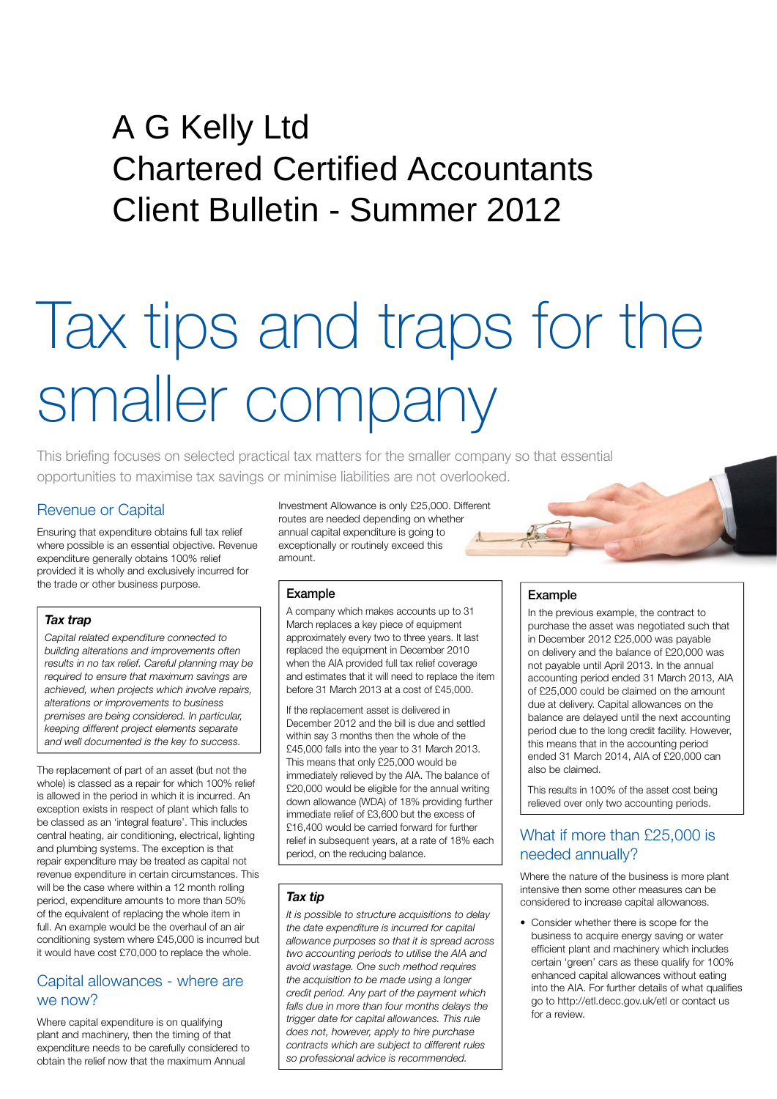# Peat House Newham Road Truro Cornwall TR1 2DP A G Kelly Ltd Chartered Certified Accountants Client Bulletin - Summer 2012

# Tax tips and traps for the smaller company

This briefing focuses on selected practical tax matters for the smaller company so that essential opportunities to maximise tax savings or minimise liabilities are not overlooked.

### Revenue or Capital

Ensuring that expenditure obtains full tax relief where possible is an essential objective. Revenue expenditure generally obtains 100% relief provided it is wholly and exclusively incurred for the trade or other business purpose.

#### *Tax trap*

*Capital related expenditure connected to building alterations and improvements often results in no tax relief. Careful planning may be required to ensure that maximum savings are achieved, when projects which involve repairs, alterations or improvements to business premises are being considered. In particular, keeping different project elements separate and well documented is the key to success.*

The replacement of part of an asset (but not the whole) is classed as a repair for which 100% relief is allowed in the period in which it is incurred. An exception exists in respect of plant which falls to be classed as an 'integral feature'. This includes central heating, air conditioning, electrical, lighting and plumbing systems. The exception is that repair expenditure may be treated as capital not revenue expenditure in certain circumstances. This will be the case where within a 12 month rolling period, expenditure amounts to more than 50% of the equivalent of replacing the whole item in full. An example would be the overhaul of an air conditioning system where £45,000 is incurred but it would have cost £70,000 to replace the whole.

#### Capital allowances - where are we now?

Where capital expenditure is on qualifying plant and machinery, then the timing of that expenditure needs to be carefully considered to obtain the relief now that the maximum Annual

Investment Allowance is only £25,000. Different routes are needed depending on whether annual capital expenditure is going to exceptionally or routinely exceed this amount.

#### Example

A company which makes accounts up to 31 March replaces a key piece of equipment approximately every two to three years. It last replaced the equipment in December 2010 when the AIA provided full tax relief coverage and estimates that it will need to replace the item before 31 March 2013 at a cost of £45,000.

If the replacement asset is delivered in December 2012 and the bill is due and settled within say 3 months then the whole of the £45,000 falls into the year to 31 March 2013. This means that only £25,000 would be immediately relieved by the AIA. The balance of £20,000 would be eligible for the annual writing down allowance (WDA) of 18% providing further immediate relief of £3,600 but the excess of £16,400 would be carried forward for further relief in subsequent years, at a rate of 18% each period, on the reducing balance.

#### *Tax tip*

*It is possible to structure acquisitions to delay the date expenditure is incurred for capital allowance purposes so that it is spread across two accounting periods to utilise the AIA and avoid wastage. One such method requires the acquisition to be made using a longer credit period. Any part of the payment which falls due in more than four months delays the trigger date for capital allowances. This rule does not, however, apply to hire purchase contracts which are subject to different rules so professional advice is recommended.*

#### Example

In the previous example, the contract to purchase the asset was negotiated such that in December 2012 £25,000 was payable on delivery and the balance of £20,000 was not payable until April 2013. In the annual accounting period ended 31 March 2013, AIA of £25,000 could be claimed on the amount due at delivery. Capital allowances on the balance are delayed until the next accounting period due to the long credit facility. However, this means that in the accounting period ended 31 March 2014, AIA of £20,000 can also be claimed.

This results in 100% of the asset cost being relieved over only two accounting periods.

# What if more than £25,000 is needed annually?

Where the nature of the business is more plant intensive then some other measures can be considered to increase capital allowances.

• Consider whether there is scope for the business to acquire energy saving or water efficient plant and machinery which includes certain 'green' cars as these qualify for 100% enhanced capital allowances without eating into the AIA. For further details of what qualifies go to http://etl.decc.gov.uk/etl or contact us for a review.